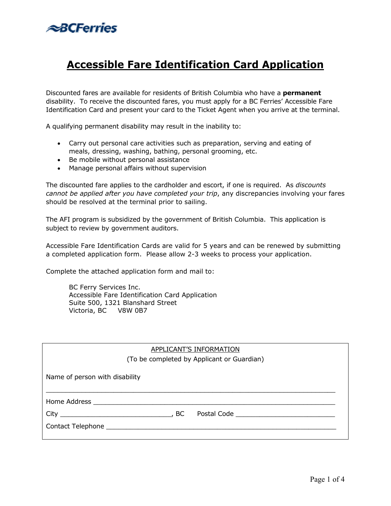

# **Accessible Fare Identification Card Application**

Discounted fares are available for residents of British Columbia who have a **permanent**  disability. To receive the discounted fares, you must apply for a BC Ferries' Accessible Fare Identification Card and present your card to the Ticket Agent when you arrive at the terminal.

A qualifying permanent disability may result in the inability to:

- Carry out personal care activities such as preparation, serving and eating of meals, dressing, washing, bathing, personal grooming, etc.
- Be mobile without personal assistance
- Manage personal affairs without supervision

The discounted fare applies to the cardholder and escort, if one is required. As *discounts cannot be applied after you have completed your trip*, any discrepancies involving your fares should be resolved at the terminal prior to sailing.

The AFI program is subsidized by the government of British Columbia. This application is subject to review by government auditors.

Accessible Fare Identification Cards are valid for 5 years and can be renewed by submitting a completed application form. Please allow 2-3 weeks to process your application.

Complete the attached application form and mail to:

BC Ferry Services Inc. Accessible Fare Identification Card Application Suite 500, 1321 Blanshard Street Victoria, BC V8W 0B7

| APPLICANT'S INFORMATION                    |
|--------------------------------------------|
| (To be completed by Applicant or Guardian) |
| Name of person with disability             |
|                                            |
| $City$ , BC                                |
|                                            |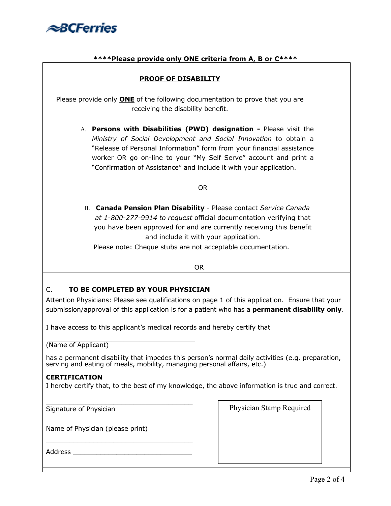

## **\*\*\*\*Please provide only ONE criteria from A, B or C\*\*\*\***

### **PROOF OF DISABILITY**

Please provide only **ONE** of the following documentation to prove that you are receiving the disability benefit.

A. **Persons with Disabilities (PWD) designation -** Please visit the *Ministry of Social Development and Social Innovation* to obtain a "Release of Personal Information" form from your financial assistance worker OR go on-line to your "My Self Serve" account and print a "Confirmation of Assistance" and include it with your application.

#### OR

B. **Canada Pension Plan Disability** - Please contact *Service Canada at 1-800-277-9914 to request* official documentation verifying that you have been approved for and are currently receiving this benefit and include it with your application.

Please note: Cheque stubs are not acceptable documentation.

OR

# C. **TO BE COMPLETED BY YOUR PHYSICIAN**

Attention Physicians: Please see qualifications on page 1 of this application. Ensure that your submission/approval of this application is for a patient who has a **permanent disability only**.

I have access to this applicant's medical records and hereby certify that

 $\overline{\phantom{a}}$  , which is a set of the set of the set of the set of the set of the set of the set of the set of the set of the set of the set of the set of the set of the set of the set of the set of the set of the set of th (Name of Applicant)

has a permanent disability that impedes this person's normal daily activities (e.g. preparation, serving and eating of meals, mobility, managing personal affairs, etc.)

#### **CERTIFICATION**

I hereby certify that, to the best of my knowledge, the above information is true and correct.

\_\_\_\_\_\_\_\_\_\_\_\_\_\_\_\_\_\_\_\_\_\_\_\_\_\_\_\_\_\_\_\_\_\_\_\_\_ Signature of Physician

Name of Physician (please print)

\_\_\_\_\_\_\_\_\_\_\_\_\_\_\_\_\_\_\_\_\_\_\_\_\_\_\_\_\_\_\_\_\_\_\_\_\_

Address \_\_\_\_

Physician Stamp Required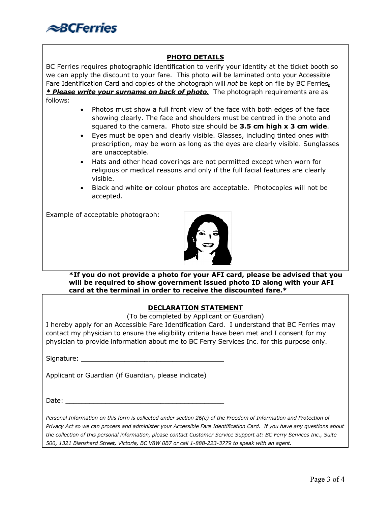

# **PHOTO DETAILS**

BC Ferries requires photographic identification to verify your identity at the ticket booth so we can apply the discount to your fare. This photo will be laminated onto your Accessible Fare Identification Card and copies of the photograph will *not* be kept on file by BC Ferries*. \* Please write your surname on back of photo.* The photograph requirements are as follows:

- Photos must show a full front view of the face with both edges of the face showing clearly. The face and shoulders must be centred in the photo and squared to the camera. Photo size should be **3.5 cm high x 3 cm wide**.
- Eyes must be open and clearly visible. Glasses, including tinted ones with prescription, may be worn as long as the eyes are clearly visible. Sunglasses are unacceptable.
- Hats and other head coverings are not permitted except when worn for religious or medical reasons and only if the full facial features are clearly visible.
- Black and white **or** colour photos are acceptable. Photocopies will not be accepted.

Example of acceptable photograph:



**\*If you do not provide a photo for your AFI card, please be advised that you will be required to show government issued photo ID along with your AFI card at the terminal in order to receive the discounted fare.\*** 

#### **DECLARATION STATEMENT**

(To be completed by Applicant or Guardian)

I hereby apply for an Accessible Fare Identification Card. I understand that BC Ferries may contact my physician to ensure the eligibility criteria have been met and I consent for my physician to provide information about me to BC Ferry Services Inc. for this purpose only.

Signature:

Applicant or Guardian (if Guardian, please indicate)

Date:

Personal Information on this form is collected under section 26(c) of the Freedom of Information and Protection of *Privacy Act so we can process and administer your Accessible Fare Identification Card. If you have any questions about the collection of this personal information, please contact Customer Service Support at: BC Ferry Services Inc., Suite 500, 1321 Blanshard Street, Victoria, BC V8W 0B7 or call 1-888-223-3779 to speak with an agent.*